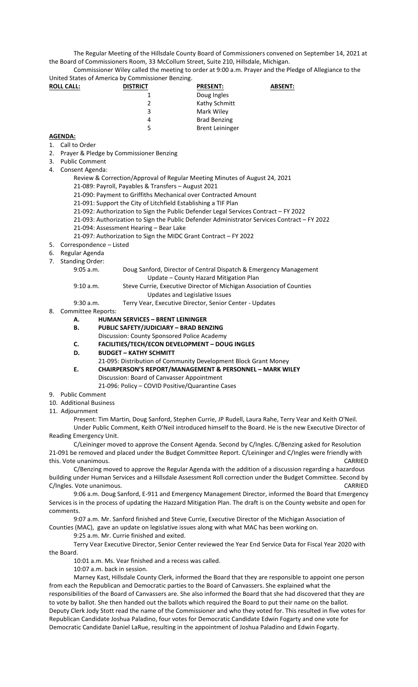The Regular Meeting of the Hillsdale County Board of Commissioners convened on September 14, 2021 at the Board of Commissioners Room, 33 McCollum Street, Suite 210, Hillsdale, Michigan.

Commissioner Wiley called the meeting to order at 9:00 a.m. Prayer and the Pledge of Allegiance to the United States of America by Commissioner Benzing.

| <b>ROLL CALL:</b> | <b>DISTRICT</b> | <b>PRESENT:</b>        | <b>ABSENT:</b> |
|-------------------|-----------------|------------------------|----------------|
|                   |                 | Doug Ingles            |                |
|                   |                 | Kathy Schmitt          |                |
|                   | 3               | Mark Wiley             |                |
|                   | 4               | <b>Brad Benzing</b>    |                |
|                   | 5               | <b>Brent Leininger</b> |                |

## **AGENDA:**

- 1. Call to Order
- 2. Prayer & Pledge by Commissioner Benzing
- 3. Public Comment
- 4. Consent Agenda:
	- Review & Correction/Approval of Regular Meeting Minutes of August 24, 2021
	- 21-089: Payroll, Payables & Transfers August 2021
	- 21-090: Payment to Griffiths Mechanical over Contracted Amount
	- 21-091: Support the City of Litchfield Establishing a TIF Plan
	- 21-092: Authorization to Sign the Public Defender Legal Services Contract FY 2022
	- 21-093: Authorization to Sign the Public Defender Administrator Services Contract FY 2022
	- 21-094: Assessment Hearing Bear Lake
	- 21-097: Authorization to Sign the MIDC Grant Contract FY 2022
- 5. Correspondence Listed
- 6. Regular Agenda
- 7. Standing Order:
	- 9:05 a.m. Doug Sanford, Director of Central Dispatch & Emergency Management Update – County Hazard Mitigation Plan

9:10 a.m. Steve Currie, Executive Director of Michigan Association of Counties

Updates and Legislative Issues

9:30 a.m. Terry Vear, Executive Director, Senior Center - Updates

- 8. Committee Reports:
	- **A. HUMAN SERVICES BRENT LEININGER**

## **B. PUBLIC SAFETY/JUDICIARY – BRAD BENZING**

- Discussion: County Sponsored Police Academy
- **C. FACILITIES/TECH/ECON DEVELOPMENT DOUG INGLES**
- **D. BUDGET KATHY SCHMITT**
- 21-095: Distribution of Community Development Block Grant Money
- **E. CHAIRPERSON'S REPORT/MANAGEMENT & PERSONNEL MARK WILEY**  Discussion: Board of Canvasser Appointment
	- 21-096: Policy COVID Positive/Quarantine Cases
- 9. Public Comment
- 10. Additional Business
- 11. Adjournment

Present: Tim Martin, Doug Sanford, Stephen Currie, JP Rudell, Laura Rahe, Terry Vear and Keith O'Neil. Under Public Comment, Keith O'Neil introduced himself to the Board. He is the new Executive Director of Reading Emergency Unit.

C/Leininger moved to approve the Consent Agenda. Second by C/Ingles. C/Benzing asked for Resolution 21-091 be removed and placed under the Budget Committee Report. C/Leininger and C/Ingles were friendly with this. Vote unanimous. CARRIED

C/Benzing moved to approve the Regular Agenda with the addition of a discussion regarding a hazardous building under Human Services and a Hillsdale Assessment Roll correction under the Budget Committee. Second by C/Ingles. Vote unanimous. CARRIED

9:06 a.m. Doug Sanford, E-911 and Emergency Management Director, informed the Board that Emergency Services is in the process of updating the Hazzard Mitigation Plan. The draft is on the County website and open for comments.

9:07 a.m. Mr. Sanford finished and Steve Currie, Executive Director of the Michigan Association of Counties (MAC), gave an update on legislative issues along with what MAC has been working on.

9:25 a.m. Mr. Currie finished and exited.

Terry Vear Executive Director, Senior Center reviewed the Year End Service Data for Fiscal Year 2020 with the Board.

10:01 a.m. Ms. Vear finished and a recess was called.

10:07 a.m. back in session.

Marney Kast, Hillsdale County Clerk, informed the Board that they are responsible to appoint one person from each the Republican and Democratic parties to the Board of Canvassers. She explained what the responsibilities of the Board of Canvassers are. She also informed the Board that she had discovered that they are to vote by ballot. She then handed out the ballots which required the Board to put their name on the ballot. Deputy Clerk Jody Stott read the name of the Commissioner and who they voted for. This resulted in five votes for Republican Candidate Joshua Paladino, four votes for Democratic Candidate Edwin Fogarty and one vote for Democratic Candidate Daniel LaRue, resulting in the appointment of Joshua Paladino and Edwin Fogarty.